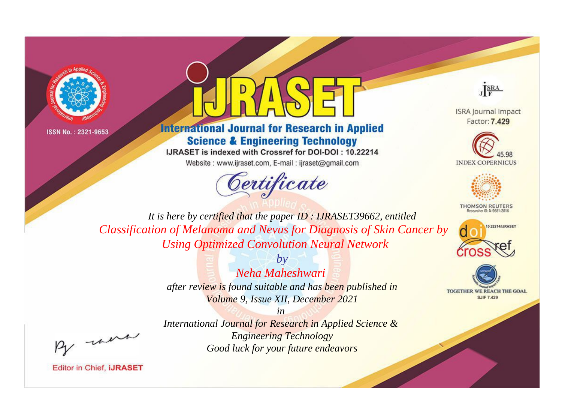



## **International Journal for Research in Applied Science & Engineering Technology**

IJRASET is indexed with Crossref for DOI-DOI: 10.22214 Website: www.ijraset.com, E-mail: ijraset@gmail.com



JERA

**ISRA Journal Impact** Factor: 7.429





**THOMSON REUTERS** 



TOGETHER WE REACH THE GOAL **SJIF 7.429** 

*It is here by certified that the paper ID : IJRASET39662, entitled Classification of Melanoma and Nevus for Diagnosis of Skin Cancer by Using Optimized Convolution Neural Network*

> *by Neha Maheshwari after review is found suitable and has been published in Volume 9, Issue XII, December 2021*

, un

*International Journal for Research in Applied Science & Engineering Technology Good luck for your future endeavors*

*in*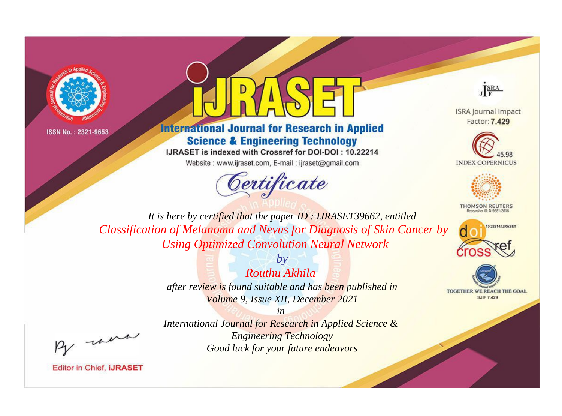



## **International Journal for Research in Applied Science & Engineering Technology**

IJRASET is indexed with Crossref for DOI-DOI: 10.22214

Website: www.ijraset.com, E-mail: ijraset@gmail.com





**ISRA Journal Impact** Factor: 7.429





**THOMSON REUTERS** 



TOGETHER WE REACH THE GOAL **SJIF 7.429** 

*It is here by certified that the paper ID : IJRASET39662, entitled Classification of Melanoma and Nevus for Diagnosis of Skin Cancer by Using Optimized Convolution Neural Network*

> *by Routhu Akhila after review is found suitable and has been published in Volume 9, Issue XII, December 2021*

, un

*International Journal for Research in Applied Science & Engineering Technology Good luck for your future endeavors*

*in*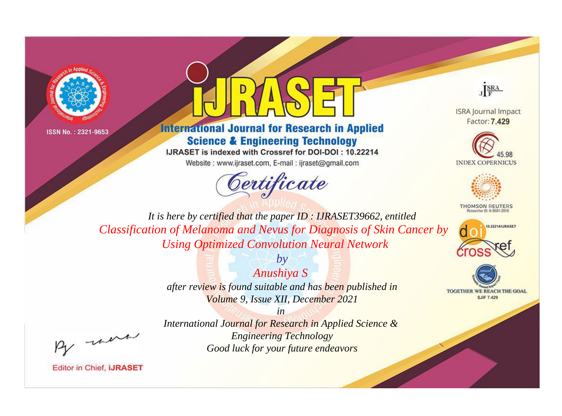



## **International Journal for Research in Applied Science & Engineering Technology**

IJRASET is indexed with Crossref for DOI-DOI: 10.22214

Website: www.ijraset.com, E-mail: ijraset@gmail.com



JERA

**ISRA Journal Impact** Factor: 7.429





**THOMSON REUTERS** 



TOGETHER WE REACH THE GOAL **SJIF 7.429** 

It is here by certified that the paper ID: IJRASET39662, entitled Classification of Melanoma and Nevus for Diagnosis of Skin Cancer by **Using Optimized Convolution Neural Network** 

> Anushiya S after review is found suitable and has been published in Volume 9, Issue XII, December 2021

 $b\nu$ 

were

International Journal for Research in Applied Science & **Engineering Technology** Good luck for your future endeavors

 $in$